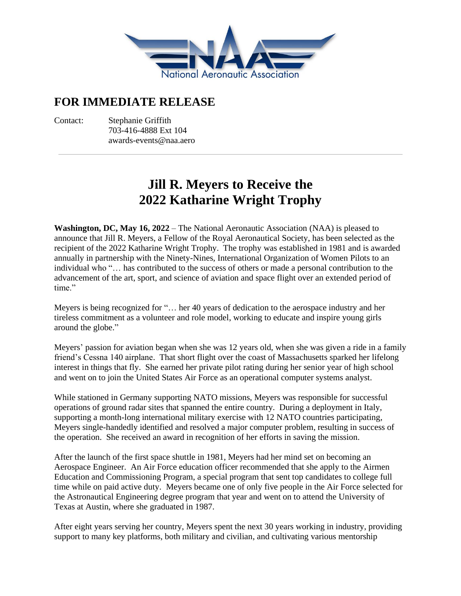

## **FOR IMMEDIATE RELEASE**

Contact: Stephanie Griffith 703-416-4888 Ext 104 awards-events@naa.aero

## **Jill R. Meyers to Receive the 2022 Katharine Wright Trophy**

**Washington, DC, May 16, 2022** – The National Aeronautic Association (NAA) is pleased to announce that Jill R. Meyers, a Fellow of the Royal Aeronautical Society, has been selected as the recipient of the 2022 Katharine Wright Trophy. The trophy was established in 1981 and is awarded annually in partnership with the Ninety-Nines, International Organization of Women Pilots to an individual who "… has contributed to the success of others or made a personal contribution to the advancement of the art, sport, and science of aviation and space flight over an extended period of time."

Meyers is being recognized for "… her 40 years of dedication to the aerospace industry and her tireless commitment as a volunteer and role model, working to educate and inspire young girls around the globe."

Meyers' passion for aviation began when she was 12 years old, when she was given a ride in a family friend's Cessna 140 airplane. That short flight over the coast of Massachusetts sparked her lifelong interest in things that fly. She earned her private pilot rating during her senior year of high school and went on to join the United States Air Force as an operational computer systems analyst.

While stationed in Germany supporting NATO missions, Meyers was responsible for successful operations of ground radar sites that spanned the entire country. During a deployment in Italy, supporting a month-long international military exercise with 12 NATO countries participating, Meyers single-handedly identified and resolved a major computer problem, resulting in success of the operation. She received an award in recognition of her efforts in saving the mission.

After the launch of the first space shuttle in 1981, Meyers had her mind set on becoming an Aerospace Engineer. An Air Force education officer recommended that she apply to the Airmen Education and Commissioning Program, a special program that sent top candidates to college full time while on paid active duty. Meyers became one of only five people in the Air Force selected for the Astronautical Engineering degree program that year and went on to attend the University of Texas at Austin, where she graduated in 1987.

After eight years serving her country, Meyers spent the next 30 years working in industry, providing support to many key platforms, both military and civilian, and cultivating various mentorship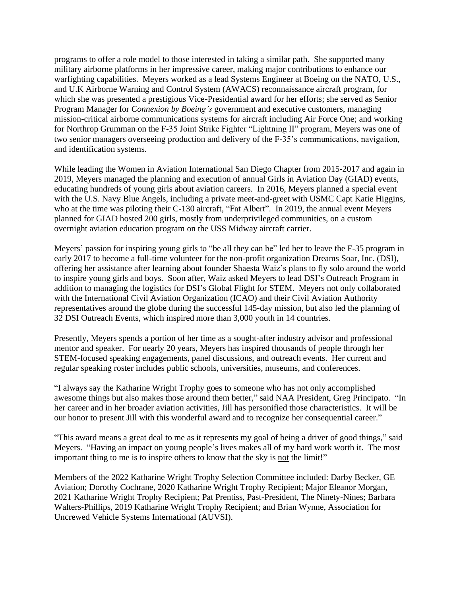programs to offer a role model to those interested in taking a similar path. She supported many military airborne platforms in her impressive career, making major contributions to enhance our warfighting capabilities. Meyers worked as a lead Systems Engineer at Boeing on the NATO, U.S., and U.K Airborne Warning and Control System (AWACS) reconnaissance aircraft program, for which she was presented a prestigious Vice-Presidential award for her efforts; she served as Senior Program Manager for *Connexion by Boeing's* government and executive customers, managing mission-critical airborne communications systems for aircraft including Air Force One; and working for Northrop Grumman on the F-35 Joint Strike Fighter "Lightning II" program, Meyers was one of two senior managers overseeing production and delivery of the F-35's communications, navigation, and identification systems.

While leading the Women in Aviation International San Diego Chapter from 2015-2017 and again in 2019, Meyers managed the planning and execution of annual Girls in Aviation Day (GIAD) events, educating hundreds of young girls about aviation careers. In 2016, Meyers planned a special event with the U.S. Navy Blue Angels, including a private meet-and-greet with USMC Capt Katie Higgins, who at the time was piloting their C-130 aircraft, "Fat Albert". In 2019, the annual event Meyers planned for GIAD hosted 200 girls, mostly from underprivileged communities, on a custom overnight aviation education program on the USS Midway aircraft carrier.

Meyers' passion for inspiring young girls to "be all they can be" led her to leave the F-35 program in early 2017 to become a full-time volunteer for the non-profit organization Dreams Soar, Inc. (DSI), offering her assistance after learning about founder Shaesta Waiz's plans to fly solo around the world to inspire young girls and boys. Soon after, Waiz asked Meyers to lead DSI's Outreach Program in addition to managing the logistics for DSI's Global Flight for STEM. Meyers not only collaborated with the International Civil Aviation Organization (ICAO) and their Civil Aviation Authority representatives around the globe during the successful 145-day mission, but also led the planning of 32 DSI Outreach Events, which inspired more than 3,000 youth in 14 countries.

Presently, Meyers spends a portion of her time as a sought-after industry advisor and professional mentor and speaker. For nearly 20 years, Meyers has inspired thousands of people through her STEM-focused speaking engagements, panel discussions, and outreach events. Her current and regular speaking roster includes public schools, universities, museums, and conferences.

"I always say the Katharine Wright Trophy goes to someone who has not only accomplished awesome things but also makes those around them better," said NAA President, Greg Principato. "In her career and in her broader aviation activities, Jill has personified those characteristics. It will be our honor to present Jill with this wonderful award and to recognize her consequential career."

"This award means a great deal to me as it represents my goal of being a driver of good things," said Meyers. "Having an impact on young people's lives makes all of my hard work worth it. The most important thing to me is to inspire others to know that the sky is not the limit!"

Members of the 2022 Katharine Wright Trophy Selection Committee included: Darby Becker, GE Aviation; Dorothy Cochrane, 2020 Katharine Wright Trophy Recipient; Major Eleanor Morgan, 2021 Katharine Wright Trophy Recipient; Pat Prentiss, Past-President, The Ninety-Nines; Barbara Walters-Phillips, 2019 Katharine Wright Trophy Recipient; and Brian Wynne, Association for Uncrewed Vehicle Systems International (AUVSI).